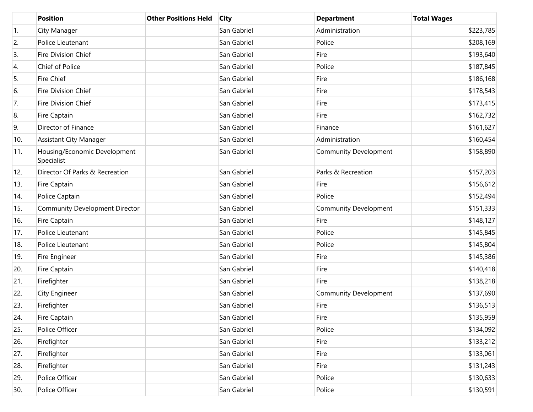|     | <b>Position</b>                            | <b>Other Positions Held</b> | <b>City</b> | <b>Department</b>            | <b>Total Wages</b> |
|-----|--------------------------------------------|-----------------------------|-------------|------------------------------|--------------------|
| 1.  | City Manager                               |                             | San Gabriel | Administration               | \$223,785          |
| 2.  | Police Lieutenant                          |                             | San Gabriel | Police                       | \$208,169          |
| 3.  | Fire Division Chief                        |                             | San Gabriel | Fire                         | \$193,640          |
| 4.  | Chief of Police                            |                             | San Gabriel | Police                       | \$187,845          |
| 5.  | Fire Chief                                 |                             | San Gabriel | Fire                         | \$186,168          |
| 6.  | Fire Division Chief                        |                             | San Gabriel | Fire                         | \$178,543          |
| 7.  | Fire Division Chief                        |                             | San Gabriel | Fire                         | \$173,415          |
| 8.  | Fire Captain                               |                             | San Gabriel | Fire                         | \$162,732          |
| 9.  | Director of Finance                        |                             | San Gabriel | Finance                      | \$161,627          |
| 10. | <b>Assistant City Manager</b>              |                             | San Gabriel | Administration               | \$160,454          |
| 11. | Housing/Economic Development<br>Specialist |                             | San Gabriel | <b>Community Development</b> | \$158,890          |
| 12. | Director Of Parks & Recreation             |                             | San Gabriel | Parks & Recreation           | \$157,203          |
| 13. | Fire Captain                               |                             | San Gabriel | Fire                         | \$156,612          |
| 14. | Police Captain                             |                             | San Gabriel | Police                       | \$152,494          |
| 15. | <b>Community Development Director</b>      |                             | San Gabriel | <b>Community Development</b> | \$151,333          |
| 16. | Fire Captain                               |                             | San Gabriel | Fire                         | \$148,127          |
| 17. | Police Lieutenant                          |                             | San Gabriel | Police                       | \$145,845          |
| 18. | Police Lieutenant                          |                             | San Gabriel | Police                       | \$145,804          |
| 19. | Fire Engineer                              |                             | San Gabriel | Fire                         | \$145,386          |
| 20. | Fire Captain                               |                             | San Gabriel | Fire                         | \$140,418          |
| 21. | Firefighter                                |                             | San Gabriel | Fire                         | \$138,218          |
| 22. | City Engineer                              |                             | San Gabriel | <b>Community Development</b> | \$137,690          |
| 23. | Firefighter                                |                             | San Gabriel | Fire                         | \$136,513          |
| 24. | Fire Captain                               |                             | San Gabriel | Fire                         | \$135,959          |
| 25. | Police Officer                             |                             | San Gabriel | Police                       | \$134,092          |
| 26. | Firefighter                                |                             | San Gabriel | Fire                         | \$133,212          |
| 27. | Firefighter                                |                             | San Gabriel | Fire                         | \$133,061          |
| 28. | Firefighter                                |                             | San Gabriel | Fire                         | \$131,243          |
| 29. | Police Officer                             |                             | San Gabriel | Police                       | \$130,633          |
| 30. | Police Officer                             |                             | San Gabriel | Police                       | \$130,591          |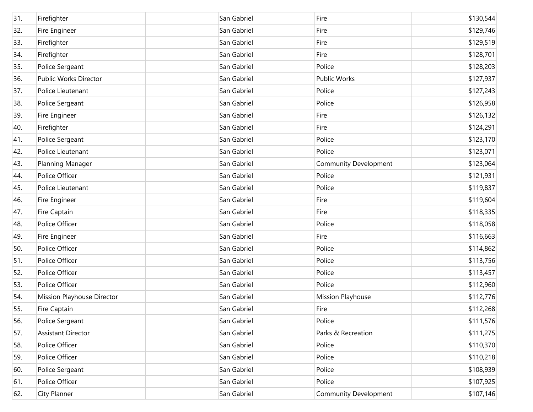| 31. | Firefighter                | San Gabriel | Fire                         | \$130,544 |
|-----|----------------------------|-------------|------------------------------|-----------|
| 32. | Fire Engineer              | San Gabriel | Fire                         | \$129,746 |
| 33. | Firefighter                | San Gabriel | Fire                         | \$129,519 |
| 34. | Firefighter                | San Gabriel | Fire                         | \$128,701 |
| 35. | Police Sergeant            | San Gabriel | Police                       | \$128,203 |
| 36. | Public Works Director      | San Gabriel | <b>Public Works</b>          | \$127,937 |
| 37. | Police Lieutenant          | San Gabriel | Police                       | \$127,243 |
| 38. | Police Sergeant            | San Gabriel | Police                       | \$126,958 |
| 39. | Fire Engineer              | San Gabriel | Fire                         | \$126,132 |
| 40. | Firefighter                | San Gabriel | Fire                         | \$124,291 |
| 41. | Police Sergeant            | San Gabriel | Police                       | \$123,170 |
| 42. | Police Lieutenant          | San Gabriel | Police                       | \$123,071 |
| 43. | Planning Manager           | San Gabriel | <b>Community Development</b> | \$123,064 |
| 44. | Police Officer             | San Gabriel | Police                       | \$121,931 |
| 45. | Police Lieutenant          | San Gabriel | Police                       | \$119,837 |
| 46. | Fire Engineer              | San Gabriel | Fire                         | \$119,604 |
| 47. | Fire Captain               | San Gabriel | Fire                         | \$118,335 |
| 48. | Police Officer             | San Gabriel | Police                       | \$118,058 |
| 49. | Fire Engineer              | San Gabriel | Fire                         | \$116,663 |
| 50. | Police Officer             | San Gabriel | Police                       | \$114,862 |
| 51. | Police Officer             | San Gabriel | Police                       | \$113,756 |
| 52. | Police Officer             | San Gabriel | Police                       | \$113,457 |
| 53. | Police Officer             | San Gabriel | Police                       | \$112,960 |
| 54. | Mission Playhouse Director | San Gabriel | Mission Playhouse            | \$112,776 |
| 55. | Fire Captain               | San Gabriel | Fire                         | \$112,268 |
| 56. | Police Sergeant            | San Gabriel | Police                       | \$111,576 |
| 57. | <b>Assistant Director</b>  | San Gabriel | Parks & Recreation           | \$111,275 |
| 58. | Police Officer             | San Gabriel | Police                       | \$110,370 |
| 59. | Police Officer             | San Gabriel | Police                       | \$110,218 |
| 60. | Police Sergeant            | San Gabriel | Police                       | \$108,939 |
| 61. | Police Officer             | San Gabriel | Police                       | \$107,925 |
| 62. | <b>City Planner</b>        | San Gabriel | <b>Community Development</b> | \$107,146 |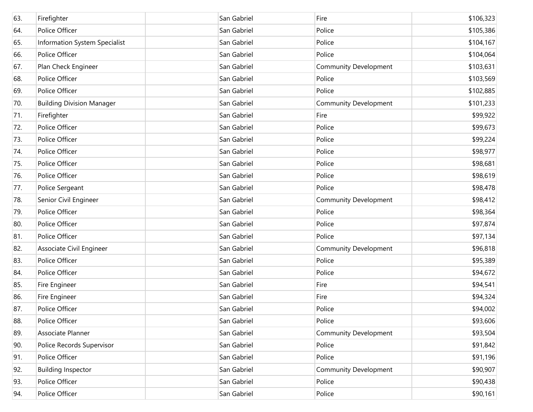| 63. | Firefighter                      | San Gabriel | Fire                         | \$106,323 |
|-----|----------------------------------|-------------|------------------------------|-----------|
| 64. | Police Officer                   | San Gabriel | Police                       | \$105,386 |
| 65. | Information System Specialist    | San Gabriel | Police                       | \$104,167 |
| 66. | Police Officer                   | San Gabriel | Police                       | \$104,064 |
| 67. | Plan Check Engineer              | San Gabriel | <b>Community Development</b> | \$103,631 |
| 68. | Police Officer                   | San Gabriel | Police                       | \$103,569 |
| 69. | Police Officer                   | San Gabriel | Police                       | \$102,885 |
| 70. | <b>Building Division Manager</b> | San Gabriel | <b>Community Development</b> | \$101,233 |
| 71. | Firefighter                      | San Gabriel | Fire                         | \$99,922  |
| 72. | Police Officer                   | San Gabriel | Police                       | \$99,673  |
| 73. | Police Officer                   | San Gabriel | Police                       | \$99,224  |
| 74. | Police Officer                   | San Gabriel | Police                       | \$98,977  |
| 75. | Police Officer                   | San Gabriel | Police                       | \$98,681  |
| 76. | Police Officer                   | San Gabriel | Police                       | \$98,619  |
| 77. | Police Sergeant                  | San Gabriel | Police                       | \$98,478  |
| 78. | Senior Civil Engineer            | San Gabriel | <b>Community Development</b> | \$98,412  |
| 79. | Police Officer                   | San Gabriel | Police                       | \$98,364  |
| 80. | Police Officer                   | San Gabriel | Police                       | \$97,874  |
| 81. | Police Officer                   | San Gabriel | Police                       | \$97,134  |
| 82. | Associate Civil Engineer         | San Gabriel | <b>Community Development</b> | \$96,818  |
| 83. | Police Officer                   | San Gabriel | Police                       | \$95,389  |
| 84. | Police Officer                   | San Gabriel | Police                       | \$94,672  |
| 85. | Fire Engineer                    | San Gabriel | Fire                         | \$94,541  |
| 86. | Fire Engineer                    | San Gabriel | Fire                         | \$94,324  |
| 87. | Police Officer                   | San Gabriel | Police                       | \$94,002  |
| 88. | Police Officer                   | San Gabriel | Police                       | \$93,606  |
| 89. | Associate Planner                | San Gabriel | Community Development        | \$93,504  |
| 90. | Police Records Supervisor        | San Gabriel | Police                       | \$91,842  |
| 91. | Police Officer                   | San Gabriel | Police                       | \$91,196  |
| 92. | <b>Building Inspector</b>        | San Gabriel | Community Development        | \$90,907  |
| 93. | Police Officer                   | San Gabriel | Police                       | \$90,438  |
| 94. | Police Officer                   | San Gabriel | Police                       | \$90,161  |